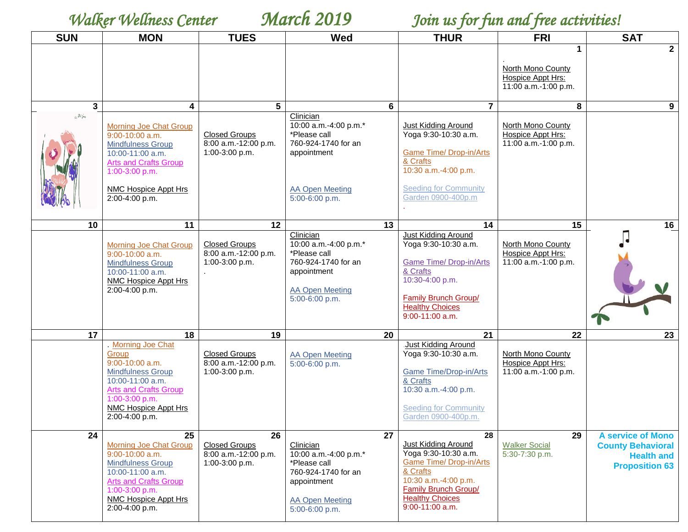## *Walker Wellness Center March 2019 Join us for fun and free activities!*

| <b>SUN</b>               | <b>MON</b>                                                                                                                                                                                           | <b>TUES</b>                                                    | Wed                                                                                                                                        | <b>THUR</b>                                                                                                                                                                                                        | <b>FRI</b>                                                            | <b>SAT</b>                                                                                         |
|--------------------------|------------------------------------------------------------------------------------------------------------------------------------------------------------------------------------------------------|----------------------------------------------------------------|--------------------------------------------------------------------------------------------------------------------------------------------|--------------------------------------------------------------------------------------------------------------------------------------------------------------------------------------------------------------------|-----------------------------------------------------------------------|----------------------------------------------------------------------------------------------------|
|                          |                                                                                                                                                                                                      |                                                                |                                                                                                                                            |                                                                                                                                                                                                                    | North Mono County<br>Hospice Appt Hrs:<br>11:00 a.m.-1:00 p.m.        | 2 <sup>1</sup>                                                                                     |
| $\mathbf{3}$             | 4                                                                                                                                                                                                    | 5                                                              | $6\phantom{1}$                                                                                                                             | $\overline{7}$                                                                                                                                                                                                     | 8                                                                     | 9                                                                                                  |
| $\alpha^{\text{Sh}}$ yay | <b>Morning Joe Chat Group</b><br>$9:00-10:00$ a.m.<br><b>Mindfulness Group</b><br>10:00-11:00 a.m.<br><b>Arts and Crafts Group</b><br>1:00-3:00 p.m.<br>NMC Hospice Appt Hrs<br>2:00-4:00 p.m.       | <b>Closed Groups</b><br>8:00 a.m.-12:00 p.m.<br>1:00-3:00 p.m. | Clinician<br>10:00 a.m.-4:00 p.m.*<br>*Please call<br>760-924-1740 for an<br>appointment<br><b>AA Open Meeting</b><br>5:00-6:00 p.m.       | <b>Just Kidding Around</b><br>Yoga 9:30-10:30 a.m.<br><b>Game Time/ Drop-in/Arts</b><br>& Crafts<br>10:30 a.m.-4:00 p.m.<br><b>Seeding for Community</b><br>Garden 0900-400p.m                                     | North Mono County<br>Hospice Appt Hrs:<br>11:00 a.m.-1:00 p.m.        |                                                                                                    |
| 10                       | 11                                                                                                                                                                                                   | 12                                                             | 13                                                                                                                                         | 14                                                                                                                                                                                                                 | 15                                                                    | 16                                                                                                 |
|                          | Morning Joe Chat Group<br>$9:00-10:00$ a.m.<br><b>Mindfulness Group</b><br>10:00-11:00 a.m.<br><b>NMC Hospice Appt Hrs</b><br>2:00-4:00 p.m.                                                         | <b>Closed Groups</b><br>8:00 a.m.-12:00 p.m.<br>1:00-3:00 p.m. | Clinician<br>10:00 a.m.-4:00 p.m.*<br>*Please call<br>760-924-1740 for an<br>appointment<br><b>AA Open Meeting</b><br>5:00-6:00 p.m.       | <b>Just Kidding Around</b><br>Yoga 9:30-10:30 a.m.<br><b>Game Time/ Drop-in/Arts</b><br>& Crafts<br>10:30-4:00 p.m.<br><b>Family Brunch Group/</b><br><b>Healthy Choices</b><br>9:00-11:00 a.m.                    | <b>North Mono County</b><br>Hospice Appt Hrs:<br>11:00 a.m.-1:00 p.m. |                                                                                                    |
| $\overline{17}$          | 18                                                                                                                                                                                                   | 19                                                             | 20                                                                                                                                         | $\overline{21}$                                                                                                                                                                                                    | 22                                                                    | 23                                                                                                 |
|                          | Morning Joe Chat<br>Group<br>$9:00-10:00$ a.m.<br><b>Mindfulness Group</b><br>10:00-11:00 a.m.<br><b>Arts and Crafts Group</b><br>1:00-3:00 p.m.<br><b>NMC Hospice Appt Hrs</b><br>2:00-4:00 p.m.    | Closed Groups<br>8:00 a.m.-12:00 p.m.<br>1:00-3:00 p.m.        | <b>AA Open Meeting</b><br>5:00-6:00 p.m.                                                                                                   | Just Kidding Around<br>Yoga 9:30-10:30 a.m.<br><b>Game Time/Drop-in/Arts</b><br>& Crafts<br>10:30 a.m.-4:00 p.m.<br><b>Seeding for Community</b><br>Garden 0900-400p.m.                                            | <b>North Mono County</b><br>Hospice Appt Hrs:<br>11:00 a.m.-1:00 p.m. |                                                                                                    |
| 24                       | 25<br><b>Morning Joe Chat Group</b><br>$9:00-10:00$ a.m.<br><b>Mindfulness Group</b><br>10:00-11:00 a.m.<br><b>Arts and Crafts Group</b><br>1:00-3:00 p.m.<br>NMC Hospice Appt Hrs<br>2:00-4:00 p.m. | 26<br>Closed Groups<br>8:00 a.m.-12:00 p.m.<br>1:00-3:00 p.m.  | 27<br>Clinician<br>10:00 a.m.-4:00 p.m.*<br>*Please call<br>760-924-1740 for an<br>appointment<br><b>AA Open Meeting</b><br>5:00-6:00 p.m. | $\overline{28}$<br><b>Just Kidding Around</b><br>Yoga 9:30-10:30 a.m.<br><b>Game Time/ Drop-in/Arts</b><br>& Crafts<br>10:30 a.m.-4:00 p.m.<br>Family Brunch Group/<br><b>Healthy Choices</b><br>$9:00-11:00$ a.m. | 29<br><b>Walker Social</b><br>5:30-7:30 p.m.                          | <b>A service of Mono</b><br><b>County Behavioral</b><br><b>Health and</b><br><b>Proposition 63</b> |